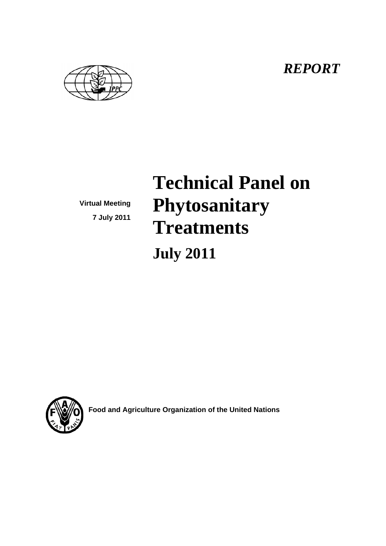*REPORT* 



**Virtual Meeting 7 July 2011** 

# **Technical Panel on Phytosanitary Treatments July 2011**



**Food and Agriculture Organization of the United Nations**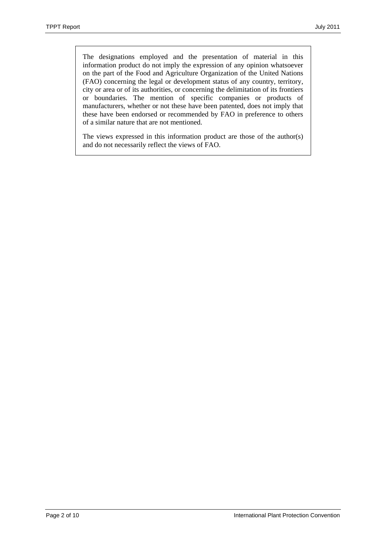The designations employed and the presentation of material in this information product do not imply the expression of any opinion whatsoever on the part of the Food and Agriculture Organization of the United Nations (FAO) concerning the legal or development status of any country, territory, city or area or of its authorities, or concerning the delimitation of its frontiers or boundaries. The mention of specific companies or products of manufacturers, whether or not these have been patented, does not imply that these have been endorsed or recommended by FAO in preference to others of a similar nature that are not mentioned.

The views expressed in this information product are those of the author(s) and do not necessarily reflect the views of FAO.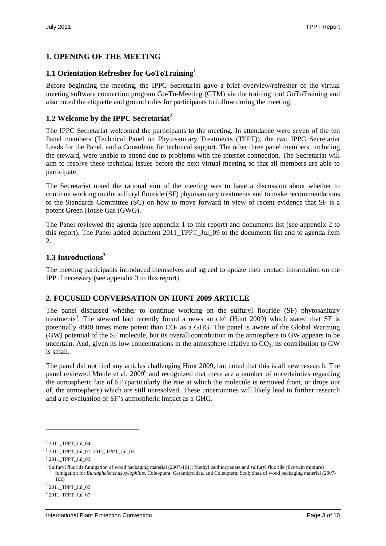# **1. OPENING OF THE MEETING**

#### **1.1 Orientation Refresher for GoToTraining1**

Before beginning the meeting, the IPPC Secretariat gave a brief overview/refresher of the virtual meeting software connection program Go-To-Meeting (GTM) via the training tool GoToTraining and also noted the etiquette and ground rules for participants to follow during the meeting.

#### **1.2 Welcome by the IPPC Secretariat**<sup>2</sup>

The IPPC Secretariat welcomed the participants to the meeting. In attendance were seven of the ten Panel members (Technical Panel on Phytosanitary Treatments (TPPT)), the two IPPC Secretariat Leads for the Panel, and a Consultant for technical support. The other three panel members, including the steward, were unable to attend due to problems with the internet connection. The Secretariat will aim to resolve these technical issues before the next virtual meeting so that all members are able to participate.

The Secretariat noted the rational aim of the meeting was to have a discussion about whether to continue working on the sulfuryl flouride (SF) phytosanitary treatments and to make recommendations to the Standards Committee (SC) on how to move forward in view of recent evidence that SF is a potent Green House Gas (GWG).

The Panel reviewed the agenda (see appendix 1 to this report) and documents list (see appendix 2 to this report). The Panel added document 2011\_TPPT\_Jul\_09 to the documents list and to agenda item  $\mathcal{L}$ 

#### **1.3 Introductions3**

The meeting participants introduced themselves and agreed to update their contact information on the IPP if necessary (see appendix 3 to this report).

#### **2. FOCUSED CONVERSATION ON HUNT 2009 ARTICLE**

The panel discussed whether to continue working on the sulfuryl flouride (SF) phytosanitary treatments<sup>4</sup>. The steward had recently found a news article<sup>5</sup> (Hunt 2009) which stated that SF is potentially 4800 times more potent than  $CO<sub>2</sub>$  as a GHG. The panel is aware of the Global Warming (GW) potential of the SF molecule, but its overall contribution in the atmosphere to GW appears to be uncertain. And, given its low concentrations in the atmosphere relative to  $CO<sub>2</sub>$ , its contribution to GW is small.

The panel did not find any articles challenging Hunt 2009, but noted that this is all new research. The panel reviewed Mühle et al. 2009<sup>6</sup> and recognized that there are a number of uncertainties regarding the atmospheric fate of SF (particularly the rate at which the molecule is removed from, or drops out of, the atmosphere) which are still unresolved. These uncertainties will likely lead to further research and a re-evaluation of SF's atmospheric impact as a GHG.

1

<sup>1</sup> 2011\_TPPT\_Jul\_04

<sup>2</sup> 2011\_TPPT\_Jul\_01, 2011\_TPPT\_Jul\_02

<sup>3</sup> 2011\_TPPT\_Jul\_03

<sup>4</sup> Sulfuryl fluoride fumigation of wood packaging material (2007-101); Methyl isothiocyanate and sulfuryl fluoride (Ecotwin mixture) fumigation for *Bursaphelenchus xylophilus*, Coleoptera: Cerambycidae, and Coleoptera: Scolytinae of wood packaging material (2007- 102)

<sup>5</sup> 2011\_TPPT\_Jul\_05

<sup>6</sup> 2011\_TPPT\_Jul\_07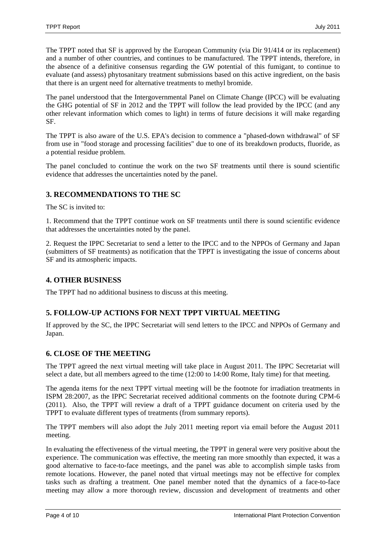The TPPT noted that SF is approved by the European Community (via Dir 91/414 or its replacement) and a number of other countries, and continues to be manufactured. The TPPT intends, therefore, in the absence of a definitive consensus regarding the GW potential of this fumigant, to continue to evaluate (and assess) phytosanitary treatment submissions based on this active ingredient, on the basis that there is an urgent need for alternative treatments to methyl bromide.

The panel understood that the Intergovernmental Panel on Climate Change (IPCC) will be evaluating the GHG potential of SF in 2012 and the TPPT will follow the lead provided by the IPCC (and any other relevant information which comes to light) in terms of future decisions it will make regarding SF.

The TPPT is also aware of the U.S. EPA's decision to commence a "phased-down withdrawal" of SF from use in "food storage and processing facilities" due to one of its breakdown products, fluoride, as a potential residue problem.

The panel concluded to continue the work on the two SF treatments until there is sound scientific evidence that addresses the uncertainties noted by the panel.

# **3. RECOMMENDATIONS TO THE SC**

The SC is invited to:

1. Recommend that the TPPT continue work on SF treatments until there is sound scientific evidence that addresses the uncertainties noted by the panel.

2. Request the IPPC Secretariat to send a letter to the IPCC and to the NPPOs of Germany and Japan (submitters of SF treatments) as notification that the TPPT is investigating the issue of concerns about SF and its atmospheric impacts.

# **4. OTHER BUSINESS**

The TPPT had no additional business to discuss at this meeting.

# **5. FOLLOW-UP ACTIONS FOR NEXT TPPT VIRTUAL MEETING**

If approved by the SC, the IPPC Secretariat will send letters to the IPCC and NPPOs of Germany and Japan.

# **6. CLOSE OF THE MEETING**

The TPPT agreed the next virtual meeting will take place in August 2011. The IPPC Secretariat will select a date, but all members agreed to the time (12:00 to 14:00 Rome, Italy time) for that meeting.

The agenda items for the next TPPT virtual meeting will be the footnote for irradiation treatments in ISPM 28:2007, as the IPPC Secretariat received additional comments on the footnote during CPM-6 (2011). Also, the TPPT will review a draft of a TPPT guidance document on criteria used by the TPPT to evaluate different types of treatments (from summary reports).

The TPPT members will also adopt the July 2011 meeting report via email before the August 2011 meeting.

In evaluating the effectiveness of the virtual meeting, the TPPT in general were very positive about the experience. The communication was effective, the meeting ran more smoothly than expected, it was a good alternative to face-to-face meetings, and the panel was able to accomplish simple tasks from remote locations. However, the panel noted that virtual meetings may not be effective for complex tasks such as drafting a treatment. One panel member noted that the dynamics of a face-to-face meeting may allow a more thorough review, discussion and development of treatments and other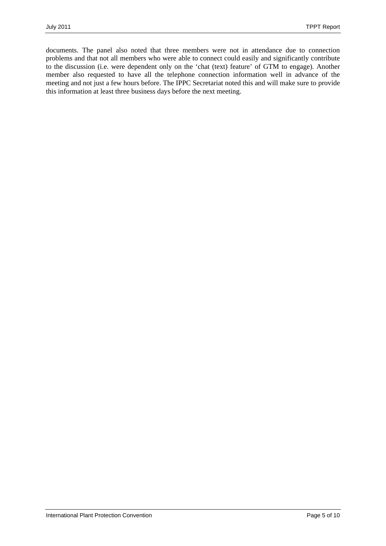documents. The panel also noted that three members were not in attendance due to connection problems and that not all members who were able to connect could easily and significantly contribute to the discussion (i.e. were dependent only on the 'chat (text) feature' of GTM to engage). Another member also requested to have all the telephone connection information well in advance of the meeting and not just a few hours before. The IPPC Secretariat noted this and will make sure to provide this information at least three business days before the next meeting.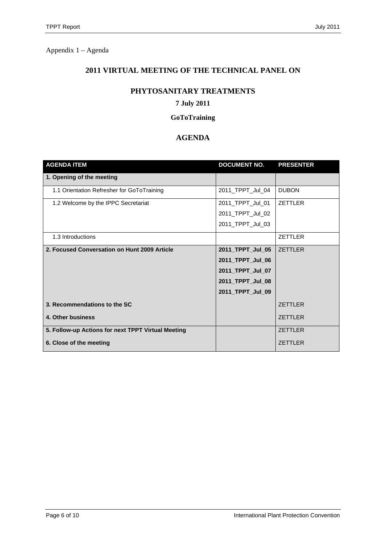Appendix 1 – Agenda

# **2011 VIRTUAL MEETING OF THE TECHNICAL PANEL ON**

#### **PHYTOSANITARY TREATMENTS**

# **7 July 2011**

#### **GoToTraining**

# **AGENDA**

| <b>AGENDA ITEM</b>                                 | <b>DOCUMENT NO.</b> | <b>PRESENTER</b> |
|----------------------------------------------------|---------------------|------------------|
| 1. Opening of the meeting                          |                     |                  |
| 1.1 Orientation Refresher for GoToTraining         | 2011_TPPT_Jul_04    | <b>DUBON</b>     |
| 1.2 Welcome by the IPPC Secretariat                | 2011_TPPT_Jul_01    | <b>ZETTLER</b>   |
|                                                    | 2011_TPPT_Jul_02    |                  |
|                                                    | 2011 TPPT Jul 03    |                  |
| 1.3 Introductions                                  |                     | <b>ZETTLER</b>   |
| 2. Focused Conversation on Hunt 2009 Article       | 2011_TPPT_Jul_05    | <b>ZETTLER</b>   |
|                                                    | 2011 TPPT Jul 06    |                  |
|                                                    | 2011_TPPT_Jul_07    |                  |
|                                                    | 2011_TPPT_Jul_08    |                  |
|                                                    | 2011_TPPT_Jul_09    |                  |
| 3. Recommendations to the SC                       |                     | <b>ZETTLER</b>   |
| 4. Other business                                  |                     | <b>ZETTLER</b>   |
| 5. Follow-up Actions for next TPPT Virtual Meeting |                     | <b>ZETTLER</b>   |
| 6. Close of the meeting                            |                     | <b>ZETTLER</b>   |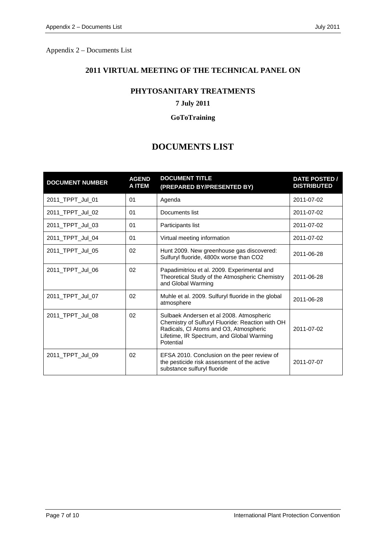Appendix 2 – Documents List

# **2011 VIRTUAL MEETING OF THE TECHNICAL PANEL ON**

#### **PHYTOSANITARY TREATMENTS**

# **7 July 2011**

#### **GoToTraining**

# **DOCUMENTS LIST**

| <b>DOCUMENT NUMBER</b> | <b>AGEND</b><br><b>A ITEM</b> | <b>DOCUMENT TITLE</b><br>(PREPARED BY/PRESENTED BY)                                                                                                                                              | <b>DATE POSTED /</b><br><b>DISTRIBUTED</b> |
|------------------------|-------------------------------|--------------------------------------------------------------------------------------------------------------------------------------------------------------------------------------------------|--------------------------------------------|
| 2011_TPPT_Jul_01       | 01                            | Agenda                                                                                                                                                                                           | 2011-07-02                                 |
| 2011 TPPT Jul 02       | 01                            | Documents list                                                                                                                                                                                   | 2011-07-02                                 |
| 2011_TPPT_Jul_03       | 01                            | Participants list                                                                                                                                                                                | 2011-07-02                                 |
| 2011_TPPT_Jul_04       | 01                            | Virtual meeting information                                                                                                                                                                      | 2011-07-02                                 |
| 2011_TPPT_Jul_05       | 02                            | Hunt 2009. New greenhouse gas discovered:<br>Sulfuryl fluoride, 4800x worse than CO2                                                                                                             | 2011-06-28                                 |
| 2011_TPPT_Jul_06       | 02                            | Papadimitriou et al. 2009. Experimental and<br>Theoretical Study of the Atmospheric Chemistry<br>and Global Warming                                                                              | 2011-06-28                                 |
| 2011_TPPT_Jul_07       | 02                            | Muhle et al. 2009. Sulfuryl fluoride in the global<br>atmosphere                                                                                                                                 | 2011-06-28                                 |
| 2011_TPPT_Jul_08       | 02                            | Sulbaek Andersen et al 2008. Atmospheric<br>Chemistry of Sulfuryl Fluoride: Reaction with OH<br>Radicals, CI Atoms and O3, Atmospheric<br>Lifetime, IR Spectrum, and Global Warming<br>Potential | 2011-07-02                                 |
| 2011_TPPT_Jul_09       | 02                            | EFSA 2010. Conclusion on the peer review of<br>the pesticide risk assessment of the active<br>substance sulfuryl fluoride                                                                        | 2011-07-07                                 |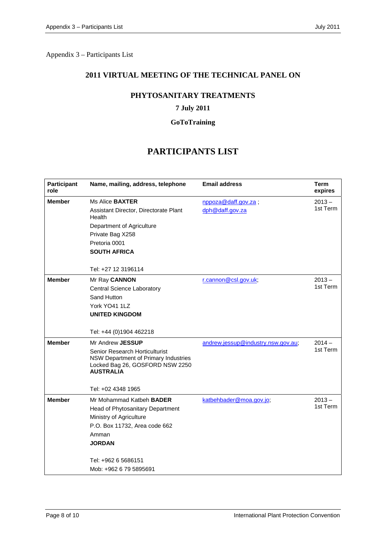Appendix 3 – Participants List

#### **2011 VIRTUAL MEETING OF THE TECHNICAL PANEL ON**

#### **PHYTOSANITARY TREATMENTS**

#### **7 July 2011**

#### **GoToTraining**

# **PARTICIPANTS LIST**

| <b>Participant</b><br>role | Name, mailing, address, telephone                                                                                                                                                                          | <b>Email address</b>                   | Term<br>expires      |
|----------------------------|------------------------------------------------------------------------------------------------------------------------------------------------------------------------------------------------------------|----------------------------------------|----------------------|
| <b>Member</b>              | Ms Alice <b>BAXTER</b><br>Assistant Director, Directorate Plant<br>Health<br>Department of Agriculture<br>Private Bag X258<br>Pretoria 0001<br><b>SOUTH AFRICA</b><br>Tel: +27 12 3196114                  | nppoza@daff.gov.za;<br>dph@daff.gov.za | $2013 -$<br>1st Term |
| <b>Member</b>              | Mr Ray CANNON<br><b>Central Science Laboratory</b><br>Sand Hutton<br>York YO41 1LZ<br><b>UNITED KINGDOM</b><br>Tel: +44 (0)1904 462218                                                                     | r.cannon@csl.gov.uk;                   | $2013 -$<br>1st Term |
| <b>Member</b>              | Mr Andrew JESSUP<br>Senior Research Horticulturist<br>NSW Department of Primary Industries<br>Locked Bag 26, GOSFORD NSW 2250<br><b>AUSTRALIA</b><br>Tel: +02 4348 1965                                    | andrew.jessup@industry.nsw.gov.au;     | $2014 -$<br>1st Term |
| <b>Member</b>              | Mr Mohammad Katbeh <b>BADER</b><br>Head of Phytosanitary Department<br>Ministry of Agriculture<br>P.O. Box 11732, Area code 662<br>Amman<br><b>JORDAN</b><br>Tel: +962 6 5686151<br>Mob: +962 6 79 5895691 | katbehbader@moa.gov.jo;                | $2013 -$<br>1st Term |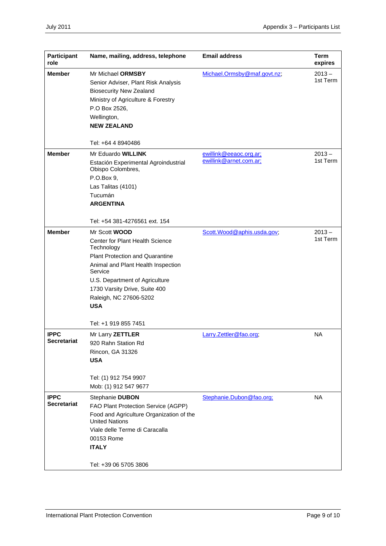| <b>Participant</b><br>role        | Name, mailing, address, telephone                                                                                                                                                                                                                             | <b>Email address</b>        | <b>Term</b><br>expires |
|-----------------------------------|---------------------------------------------------------------------------------------------------------------------------------------------------------------------------------------------------------------------------------------------------------------|-----------------------------|------------------------|
| <b>Member</b>                     | Mr Michael ORMSBY<br>Senior Adviser, Plant Risk Analysis<br><b>Biosecurity New Zealand</b><br>Ministry of Agriculture & Forestry<br>P.O Box 2526,<br>Wellington,<br><b>NEW ZEALAND</b><br>Tel: +64 4 8940486                                                  | Michael.Ormsby@maf.govt.nz; | $2013 -$<br>1st Term   |
| <b>Member</b>                     | Mr Eduardo WILLINK                                                                                                                                                                                                                                            | ewillink@eeaoc.org.ar;      | $2013 -$               |
|                                   | Estación Experimental Agroindustrial<br>Obispo Colombres,<br>P.O.Box 9,<br>Las Talitas (4101)<br>Tucumán<br><b>ARGENTINA</b>                                                                                                                                  | ewillink@arnet.com.ar;      | 1st Term               |
|                                   | Tel: +54 381-4276561 ext. 154                                                                                                                                                                                                                                 |                             |                        |
| <b>Member</b>                     | Mr Scott WOOD<br>Center for Plant Health Science<br>Technology<br>Plant Protection and Quarantine<br>Animal and Plant Health Inspection<br>Service<br>U.S. Department of Agriculture<br>1730 Varsity Drive, Suite 400<br>Raleigh, NC 27606-5202<br><b>USA</b> | Scott.Wood@aphis.usda.gov;  | $2013 -$<br>1st Term   |
|                                   | Tel: +1 919 855 7451                                                                                                                                                                                                                                          |                             |                        |
| <b>IPPC</b><br><b>Secretariat</b> | Mr Larry ZETTLER<br>920 Rahn Station Rd<br>Rincon, GA 31326<br><b>USA</b><br>Tel: (1) 912 754 9907<br>Mob: (1) 912 547 9677                                                                                                                                   | Larry.Zettler@fao.org;      | <b>NA</b>              |
| <b>IPPC</b>                       | Stephanie DUBON                                                                                                                                                                                                                                               | Stephanie.Dubon@fao.org;    | <b>NA</b>              |
| <b>Secretariat</b>                | FAO Plant Protection Service (AGPP)<br>Food and Agriculture Organization of the<br><b>United Nations</b><br>Viale delle Terme di Caracalla<br>00153 Rome<br><b>ITALY</b><br>Tel: +39 06 5705 3806                                                             |                             |                        |